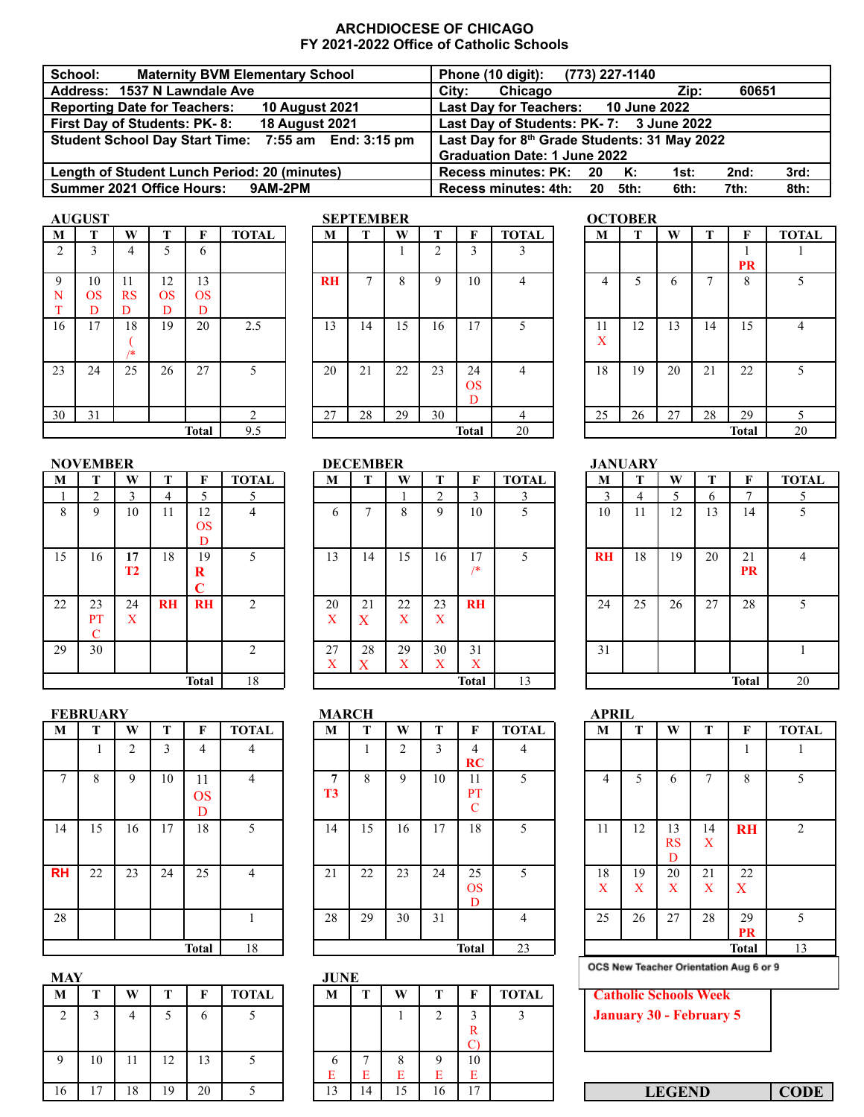## **ARCHDIOCESE OF CHICAGO FY 2021-2022 Office of Catholic Schools**

| School:<br><b>Maternity BVM Elementary School</b>            | Phone (10 digit): (773) 227-1140                        |
|--------------------------------------------------------------|---------------------------------------------------------|
| Address: 1537 N Lawndale Ave                                 | Chicago<br>Citv:<br>60651<br>Zip:                       |
| <b>Reporting Date for Teachers:</b><br><b>10 August 2021</b> | Last Day for Teachers: 10 June 2022                     |
| First Day of Students: PK-8:<br><b>18 August 2021</b>        | Last Day of Students: PK-7: 3 June 2022                 |
| Student School Day Start Time: 7:55 am End: 3:15 pm          | Last Day for 8th Grade Students: 31 May 2022            |
|                                                              | <b>Graduation Date: 1 June 2022</b>                     |
| Length of Student Lunch Period: 20 (minutes)                 | 3rd:<br>Recess minutes: PK: 20 K:<br>2nd:<br>1st:       |
| Summer 2021 Office Hours: 9AM-2PM                            | Recess minutes: 4th: 20<br>8th:<br>5th:<br>7th:<br>6th: |

| <b>AUGUST</b> |  |
|---------------|--|
|               |  |

| M           | Т                    | W                    | T                    | F                    | <b>TOTAL</b> | M         | T  | W  | Т              | F                    |
|-------------|----------------------|----------------------|----------------------|----------------------|--------------|-----------|----|----|----------------|----------------------|
| 2           | 3                    | 4                    | 5                    | 6                    |              |           |    |    | $\overline{c}$ | 3                    |
| 9<br>N<br>T | 10<br><b>OS</b><br>D | 11<br><b>RS</b><br>D | 12<br><b>OS</b><br>D | 13<br><b>OS</b><br>D |              | <b>RH</b> | 7  | 8  | 9              | 10                   |
| 16          | 17                   | 18<br>/*             | 19                   | 20                   | 2.5          | 13        | 14 | 15 | 16             | 17                   |
| 23          | 24                   | 25                   | 26                   | 27                   | 5            | 20        | 21 | 22 | 23             | 24<br><b>OS</b><br>D |
| 30          | 31                   |                      |                      |                      | 2            | 27        | 28 | 29 | 30             |                      |
|             |                      |                      |                      | <b>Total</b>         | 9.5          |           |    |    |                | Total                |

|    |                        |                 |           | <b>Total</b>                 | 9.5            |  |         |                 |                                    |                | <b>Total</b>                       | 20           |               |                |    |    | <b>Total</b>    | 20           |
|----|------------------------|-----------------|-----------|------------------------------|----------------|--|---------|-----------------|------------------------------------|----------------|------------------------------------|--------------|---------------|----------------|----|----|-----------------|--------------|
|    | <b>NOVEMBER</b>        |                 |           |                              |                |  |         | <b>DECEMBER</b> |                                    |                |                                    |              |               | <b>JANUARY</b> |    |    |                 |              |
| M  | Т                      | W               |           | F                            | <b>TOTAL</b>   |  | M       |                 | W                                  | т              | F                                  | <b>TOTAL</b> | M             | т              | W  | т  | F               | <b>TOTAL</b> |
|    | $\overline{c}$         | 3               | 4         | 5                            | 5              |  |         |                 |                                    | $\overline{2}$ | 3                                  | 3            | $\mathcal{E}$ | 4              | 5  | 6  | 7               | 5            |
| 8  | 9                      | 10              | 11        | 12<br><b>OS</b>              | 4              |  | 6       | $\mathbf{r}$    | 8                                  | 9              | 10                                 | 5            | 10            | 11             | 12 | 13 | 14              | 5            |
|    |                        |                 |           | D                            |                |  |         |                 |                                    |                |                                    |              |               |                |    |    |                 |              |
| 15 | 16                     | 17<br><b>T2</b> | 18        | 19<br>$\bf R$<br>$\mathbf C$ | 5              |  | 13      | 14              | 15                                 | 16             | 17<br>/*                           | 5            | <b>RH</b>     | 18             | 19 | 20 | 21<br><b>PR</b> | 4            |
| 22 | 23<br>PT<br>$\sqrt{ }$ | 24<br>X         | <b>RH</b> | <b>RH</b>                    | $\mathcal{D}$  |  | 20<br>X | 21<br>X         | 22<br>X                            | 23<br>X        | <b>RH</b>                          |              | 24            | 25             | 26 | 27 | 28              | 5            |
| 29 | 30                     |                 |           |                              | $\mathfrak{D}$ |  | 27<br>X | 28<br>X         | 29<br>$\overline{\mathbf{v}}$<br>A | 30<br>X        | 31<br>$\mathbf{v}$<br>$\mathbf{A}$ |              | 31            |                |    |    |                 |              |
|    | 18<br><b>Total</b>     |                 |           |                              |                |  |         |                 |                                    |                | <b>Total</b>                       | 13           |               |                |    |    | <b>Total</b>    | 20           |

|             | <b>AUGUST</b> |               |                      |                      |              |           | <b>SEPTEMBER</b> |    |            |                      |              |                     | <b>OCTOBER</b> |    |    |              |              |
|-------------|---------------|---------------|----------------------|----------------------|--------------|-----------|------------------|----|------------|----------------------|--------------|---------------------|----------------|----|----|--------------|--------------|
| M           | т             | W             | m                    | F                    | <b>TOTAL</b> | M         | т                | W  | m.         | F                    | <b>TOTAL</b> | M                   | т              | W  | т  | F            | <b>TOTAL</b> |
| 2           | $\sim$        | 4             |                      | 6                    |              |           |                  |    | $\bigcirc$ | 3                    | $\sim$       |                     |                |    |    | <b>PR</b>    |              |
| 9<br>N<br>m | 10<br>OS<br>D | 11<br>RS<br>D | 12<br><b>OS</b><br>D | 13<br><b>OS</b><br>D |              | <b>RH</b> | ∍                | 8  | 9          | 10                   | 4            | 4                   |                | O  | -  | 8            | 5            |
| 16          | 17            | 18<br>/*      | 19                   | 20                   | 2.5          | 13        | 14               | 15 | 16         | 7                    | 5            | Ħ<br>v<br>$\Lambda$ | 12             | 13 | 14 | 15           | 4            |
| 23          | 24            | 25            | 26                   | 27                   |              | 20        | 21               | 22 | 23         | 24<br><b>OS</b><br>D | 4            | 18                  | 19             | 20 | 21 | 22           | 5            |
| 30          | 31            |               |                      |                      |              | 27        | 28               | 29 | 30         |                      | 4            | 25                  | 26             | 27 | 28 | 29           |              |
|             |               |               |                      | <b>Total</b>         | 9.5          |           |                  |    |            | <b>Total</b>         | 20           |                     |                |    |    | <b>Total</b> | 20           |
|             |               |               |                      |                      |              |           |                  |    |            |                      |              |                     |                |    |    |              |              |

| <b>OVEMBER</b>             |                                 |           |                |               |                         | <b>DECEMBER</b> |                        |              |              |              |           | <b>JANUARY</b> |    |    |                 |                |
|----------------------------|---------------------------------|-----------|----------------|---------------|-------------------------|-----------------|------------------------|--------------|--------------|--------------|-----------|----------------|----|----|-----------------|----------------|
| т                          | W                               | т         | F              | <b>TOTAL</b>  | M                       | т               | W                      | т            | F            | <b>TOTAL</b> | M         | T              | W  | т  | F               | <b>TOT</b>     |
| ◠                          | 3                               | 4         | 5              |               |                         |                 |                        | ∍            | 3            | 3            | 3         | 4              | 5  | 6  |                 |                |
| 8<br>Q                     | 10                              | 11        | 12             |               | b                       | ⇁               | 8                      | 9            | 10           | 5            | 10        | 11             | 12 | 13 | 14              | 5              |
|                            |                                 |           | <b>OS</b><br>D |               |                         |                 |                        |              |              |              |           |                |    |    |                 |                |
| 5<br>16                    | 17<br>T <sub>2</sub>            | 18        | 19<br>R<br>⌒   |               | 13                      | 14              | 15                     | 16           | 17<br>/*     | 5            | <b>RH</b> | 18             | 19 | 20 | 21<br><b>PR</b> | $\overline{4}$ |
| $\overline{2}$<br>23<br>PT | 24<br>$\mathbf{v}$<br>$\lambda$ | <b>RH</b> | <b>RH</b>      | $\mathcal{L}$ | 20<br>$\mathbf{v}$<br>л | 21<br>X         | 22<br>X                | 23<br>X      | <b>RH</b>    |              | 24        | 25             | 26 | 27 | 28              | 5              |
| 9<br>30                    |                                 |           |                | ↑             | 27<br>٦z<br>$\lambda$   | 28<br>X         | 29<br>$\mathbf v$<br>A | 30<br>v<br>л | 31<br>X      |              | 31        |                |    |    |                 | 1              |
| 18<br><b>Total</b>         |                                 |           |                |               |                         |                 |                        |              | <b>Total</b> | 13           |           |                |    |    | <b>Total</b>    | 20             |

| TAL             | M                 | T          | W  | T      | F              | <b>TOTAL</b>   |
|-----------------|-------------------|------------|----|--------|----------------|----------------|
| 3               |                   |            |    |        | 1<br><b>PR</b> |                |
| 4               | $\overline{4}$    | $\sqrt{5}$ | 6  | 7      | 8              | 5              |
| 5               | 11<br>$\mathbf X$ | 12         | 13 | 14     | 15             | $\overline{4}$ |
| 4               | 18                | 19         | 20 | 21     | 22             | 5              |
| 4               | 25                | $26\,$     | 27 | $28\,$ | 29             | 5              |
| $\overline{20}$ |                   |            |    |        | <b>Total</b>   | 20             |
|                 |                   |            |    |        |                |                |

|                    |              |           | <b>JANUARY</b> |    |    |                 |                |
|--------------------|--------------|-----------|----------------|----|----|-----------------|----------------|
| F                  | <b>TOTAL</b> | M         | T              | W  | T  | F               | <b>TOTAL</b>   |
| $\overline{3}$     | 3            | 3         | 4              | 5  | 6  | 7               | 5              |
| 10                 | 5            | 10        | 11             | 12 | 13 | 14              | 5              |
|                    |              |           |                |    |    |                 |                |
| 17<br>$/$ *        | 5            | <b>RH</b> | 18             | 19 | 20 | 21<br><b>PR</b> | $\overline{4}$ |
| RH                 |              | 24        | 25             | 26 | 27 | 28              | 5              |
| 31<br>$\mathbf{X}$ |              | 31        |                |    |    |                 | 1              |
| otal               | 13           |           |                |    |    | <b>Total</b>    | 20             |

|           | <b>FEBRUARY</b> |                |    |              |                | <b>MARCH</b>   |    |                |    |               |
|-----------|-----------------|----------------|----|--------------|----------------|----------------|----|----------------|----|---------------|
| М         | T               | W              | T  | F            | <b>TOTAL</b>   | М              | T  | W              | T  | F             |
|           | 1               | $\overline{c}$ | 3  | 4            | 4              |                |    | $\overline{c}$ | 3  | 4             |
|           |                 |                |    |              |                |                |    |                |    | <b>RC</b>     |
| 7         | 8               | 9              | 10 | 11           | $\overline{4}$ | 7              | 8  | 9              | 10 | 11            |
|           |                 |                |    | <b>OS</b>    |                | T <sub>3</sub> |    |                |    | PT            |
|           |                 |                |    | D            |                |                |    |                |    | $\mathcal{C}$ |
| 14        | 15              | 16             | 17 | 18           | 5              | 14             | 15 | 16             | 17 | 18            |
|           |                 |                |    |              |                |                |    |                |    |               |
|           |                 |                |    |              |                |                |    |                |    |               |
| <b>RH</b> | 22              | 23             | 24 | 25           | $\overline{4}$ | 21             | 22 | 23             | 24 | 25            |
|           |                 |                |    |              |                |                |    |                |    | <b>OS</b>     |
|           |                 |                |    |              |                |                |    |                |    | $\mathbf{D}$  |
| 28        |                 |                |    |              |                | 28             | 29 | 30             | 31 |               |
|           |                 |                |    |              |                |                |    |                |    |               |
|           |                 |                |    | <b>Total</b> | 18             |                |    |                |    | Total         |

| <b>MAY</b> |    |    |    |    |              | <b>JUNE</b> |    |    |                |               |
|------------|----|----|----|----|--------------|-------------|----|----|----------------|---------------|
| м          | т  | W  | Т  | F  | <b>TOTAL</b> | М           | т  | W  | т              | F             |
| 2          | 3  |    | 5  | O  |              |             |    |    | $\overline{c}$ | $\mathcal{E}$ |
|            |    |    |    |    |              |             |    |    |                | R             |
|            |    |    |    |    |              |             |    |    |                | C)            |
| Q          | 10 | 11 | 12 | 13 |              | h           |    | 8  | a              | 10            |
|            |    |    |    |    |              | Е           | E  | E  | Е              | E             |
| 16         | 17 | 18 | 19 | 20 |              | 13          | 14 | 15 | 16             | 17            |

|                    | <b>FEBRUARY</b> |            |    |                      |              |  | <b>MARCH</b>        |    |    |    |                             |              | <b>APRIL</b> |         |               |         |                        |              |
|--------------------|-----------------|------------|----|----------------------|--------------|--|---------------------|----|----|----|-----------------------------|--------------|--------------|---------|---------------|---------|------------------------|--------------|
| M                  | m               | W          | т  | F                    | <b>TOTAL</b> |  | M                   | т  | W  |    | F                           | <b>TOTAL</b> | M            | т       | W             |         | F                      | <b>TOTAL</b> |
|                    |                 | $\bigcirc$ | 3  | 4                    | 4            |  |                     |    | 2  | 3  | 4<br>RC                     | 4            |              |         |               |         |                        |              |
| $\mathcal{I}$      | 8               | 9          | 10 | 11<br><b>OS</b><br>D | 4            |  | 7<br>T <sub>3</sub> | 8  | 9  | 10 | 11<br>PT<br>$\sqrt{ }$<br>U | 5            | 4            |         | <sub>0</sub>  | ⇁       | 8                      | 5            |
| 14                 | 15              | 16         | 17 | 18                   | 5            |  | 14                  | 15 | 16 | 17 | 18                          | 5            | 11           | 12      | 13<br>RS<br>D | 14<br>X | <b>RH</b>              | 2            |
| <b>RH</b>          | 22              | 23         | 24 | 25                   | 4            |  | 21                  | 22 | 23 | 24 | 25<br><b>OS</b><br>D        | 5            | 18<br>X      | 19<br>X | 20<br>X       | 21<br>X | 22<br>$\boldsymbol{X}$ |              |
| 28                 |                 |            |    |                      |              |  | 28                  | 29 | 30 | 31 |                             | 4            | 25           | 26      | 27            | 28      | 29<br>PR               | 5            |
| <b>Total</b><br>18 |                 |            |    |                      |              |  |                     |    |    |    | <b>Total</b>                | 23           |              |         |               |         | <b>Total</b>           | 13           |
|                    |                 |            |    |                      |              |  |                     |    |    |    |                             |              |              |         |               |         |                        |              |

| MAY         |                |    |    |    |              | JUNE |                     |        |    |       |              |                              |
|-------------|----------------|----|----|----|--------------|------|---------------------|--------|----|-------|--------------|------------------------------|
| М           |                | W  |    | F  | <b>TOTAL</b> | M    | m                   | W      |    |       | <b>TOTAL</b> | <b>Catholic Schools Week</b> |
| $\bigcirc$  |                |    |    | O  |              |      |                     |        |    |       |              | January 30 - February 5      |
|             |                |    |    |    |              |      |                     |        |    | R     |              |                              |
| $\mathbf Q$ | 10             |    | 12 | 13 |              |      |                     |        |    | 10    |              |                              |
|             |                |    |    |    |              |      | $\blacksquare$<br>E | ⊷      |    |       |              |                              |
| 16          | $\overline{7}$ | 18 | 19 | 20 |              | 3    | 14                  | $\sim$ | 16 | $1 -$ |              | <b>CODE</b><br><b>LEGEND</b> |
|             |                |    |    |    |              |      |                     |        |    |       |              |                              |

| APRIL                                  |  |                    |         |                      |         |                 |                |  |  |  |  |  |
|----------------------------------------|--|--------------------|---------|----------------------|---------|-----------------|----------------|--|--|--|--|--|
| TAL                                    |  | М                  | T       | W                    | T       | F               | <b>TOTAL</b>   |  |  |  |  |  |
| 4                                      |  |                    |         |                      |         | 1               |                |  |  |  |  |  |
| $\overline{5}$                         |  | 4                  | 5       | 6                    | 7       | 8               | 5              |  |  |  |  |  |
| 5                                      |  | 11                 | 12      | 13<br><b>RS</b><br>D | 14<br>X | <b>RH</b>       | $\overline{2}$ |  |  |  |  |  |
| $\overline{5}$                         |  | 18<br>X            | 19<br>X | 20<br>X              | 21<br>X | 22<br>X         |                |  |  |  |  |  |
| 4                                      |  | 25                 | 26      | 27                   | 28      | 29<br><b>PR</b> | 5              |  |  |  |  |  |
| $\overline{23}$                        |  | <b>Total</b><br>13 |         |                      |         |                 |                |  |  |  |  |  |
| OCS New Teacher Orientation Aug 6 or 9 |  |                    |         |                      |         |                 |                |  |  |  |  |  |